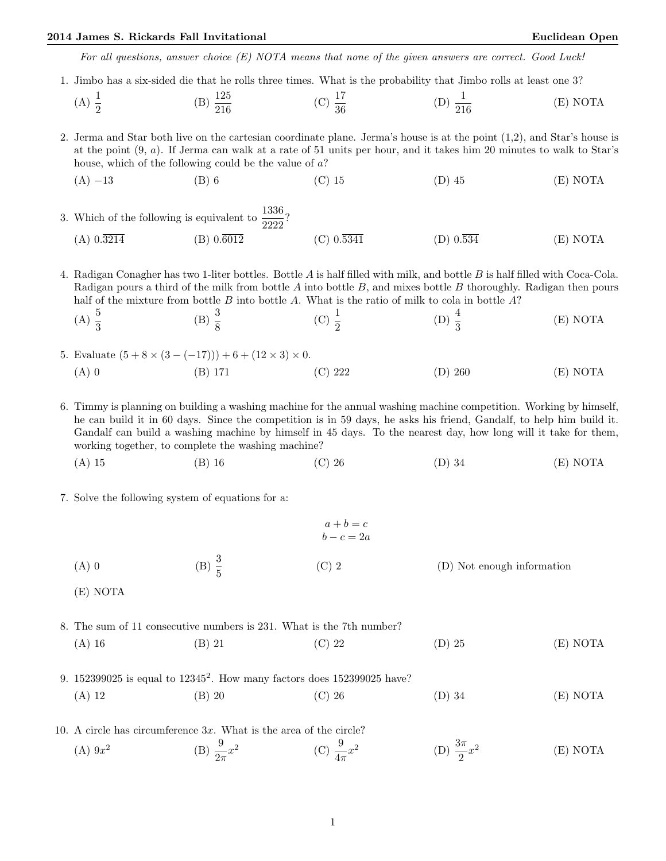For all questions, answer choice (E) NOTA means that none of the given answers are correct. Good Luck!

1. Jimbo has a six-sided die that he rolls three times. What is the probability that Jimbo rolls at least one 3?

(A) 
$$
\frac{1}{2}
$$
 \t\t (B)  $\frac{125}{216}$  \t\t (C)  $\frac{17}{36}$  \t\t (D)  $\frac{1}{216}$  \t\t (E) NOTA

2. Jerma and Star both live on the cartesian coordinate plane. Jerma's house is at the point (1,2), and Star's house is at the point (9, a). If Jerma can walk at a rate of 51 units per hour, and it takes him 20 minutes to walk to Star's house, which of the following could be the value of a?

(A) −13 (B) 6 (C) 15 (D) 45 (E) NOTA

3. Which of the following is equivalent to  $\frac{1336}{2222}$ ? (A)  $0.\overline{3214}$  (B)  $0.\overline{6012}$  (C)  $0.\overline{5341}$  (D)  $0.\overline{534}$  (E) NOTA

4. Radigan Conagher has two 1-liter bottles. Bottle A is half filled with milk, and bottle B is half filled with Coca-Cola. Radigan pours a third of the milk from bottle  $A$  into bottle  $B$ , and mixes bottle  $B$  thoroughly. Radigan then pours half of the mixture from bottle  $B$  into bottle  $A$ . What is the ratio of milk to cola in bottle  $A$ ?

(A) 
$$
\frac{5}{3}
$$
 \t\t (B)  $\frac{3}{8}$  \t\t (C)  $\frac{1}{2}$  \t\t (D)  $\frac{4}{3}$  \t\t (E) NOTA

5. Evaluate  $(5 + 8 \times (3 - (-17))) + 6 + (12 \times 3) \times 0$ . (A) 0 (B) 171 (C) 222 (D) 260 (E) NOTA

6. Timmy is planning on building a washing machine for the annual washing machine competition. Working by himself, he can build it in 60 days. Since the competition is in 59 days, he asks his friend, Gandalf, to help him build it. Gandalf can build a washing machine by himself in 45 days. To the nearest day, how long will it take for them, working together, to complete the washing machine?

(A) 15 (B) 16 (C) 26 (D) 34 (E) NOTA

7. Solve the following system of equations for a:

|                     |                   | $a+b=c$<br>$b - c = 2a$ |                            |
|---------------------|-------------------|-------------------------|----------------------------|
| $(A)$ 0<br>(E) NOTA | (B) $\frac{3}{5}$ | $(C)$ 2                 | (D) Not enough information |
|                     |                   |                         |                            |

8. The sum of 11 consecutive numbers is 231. What is the 7th number? (A) 16 (B) 21 (C) 22 (D) 25 (E) NOTA

9. 152399025 is equal to 12345<sup>2</sup> . How many factors does 152399025 have? (A) 12 (B) 20 (C) 26 (D) 34 (E) NOTA

10. A circle has circumference 3x. What is the area of the circle?  $(A) 9x^2$ (B)  $\frac{9}{2\pi}x^2$ (C)  $\frac{9}{4\pi}x^2$ (D)  $\frac{3\pi}{2}x^2$ (E) NOTA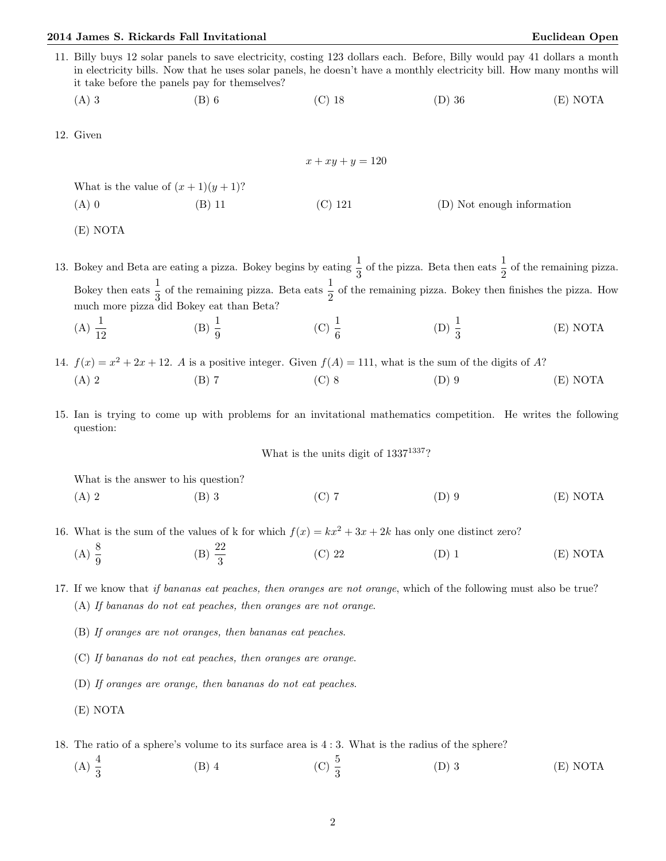- 11. Billy buys 12 solar panels to save electricity, costing 123 dollars each. Before, Billy would pay 41 dollars a month in electricity bills. Now that he uses solar panels, he doesn't have a monthly electricity bill. How many months will it take before the panels pay for themselves?
	- (A) 3 (B) 6 (C) 18 (D) 36 (E) NOTA
- 12. Given

 $x + xy + y = 120$ What is the value of  $(x + 1)(y + 1)$ ?  $(A) 0$  (B) 11 (C) 121 (D) Not enough information

(E) NOTA

13. Bokey and Beta are eating a pizza. Bokey begins by eating  $\frac{1}{3}$  of the pizza. Beta then eats  $\frac{1}{2}$  of the remaining pizza. Bokey then eats  $\frac{1}{3}$  of the remaining pizza. Beta eats  $\frac{1}{2}$  of the remaining pizza. Bokey then finishes the pizza. How much more pizza did Bokey eat than Beta? (A)  $\frac{1}{12}$ (B)  $\frac{1}{9}$ (C)  $\frac{1}{6}$ (D)  $\frac{1}{3}$ (E) NOTA

14.  $f(x) = x^2 + 2x + 12$ . A is a positive integer. Given  $f(A) = 111$ , what is the sum of the digits of A? (A) 2 (B) 7 (C) 8 (D) 9 (E) NOTA

15. Ian is trying to come up with problems for an invitational mathematics competition. He writes the following question:

What is the units digit of  $1337^{1337}$ ?

What is the answer to his question?

- (A) 2 (B) 3 (C) 7 (D) 9 (E) NOTA
- 16. What is the sum of the values of k for which  $f(x) = kx^2 + 3x + 2k$  has only one distinct zero?
	- (A)  $\frac{8}{9}$ (B)  $\frac{22}{3}$ (C) 22 (D) 1 (E) NOTA

17. If we know that if bananas eat peaches, then oranges are not orange, which of the following must also be true? (A) If bananas do not eat peaches, then oranges are not orange.

(B) If oranges are not oranges, then bananas eat peaches.

(C) If bananas do not eat peaches, then oranges are orange.

(D) If oranges are orange, then bananas do not eat peaches.

(E) NOTA

18. The ratio of a sphere's volume to its surface area is 4 : 3. What is the radius of the sphere?

(A)  $\frac{4}{3}$ (B) 4 (C)  $\frac{5}{3}$ (D) 3 (E) NOTA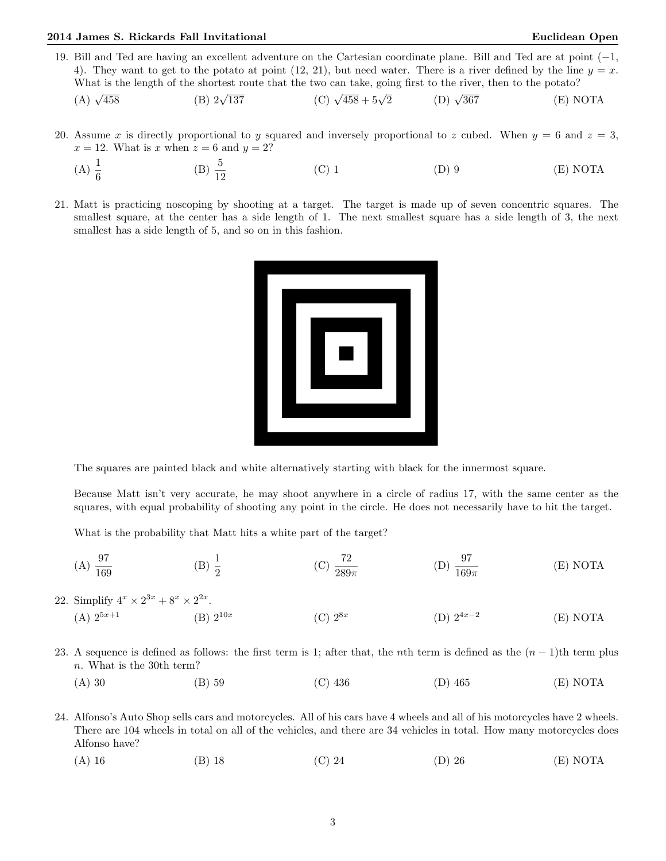19. Bill and Ted are having an excellent adventure on the Cartesian coordinate plane. Bill and Ted are at point (−1, 4). They want to get to the potato at point (12, 21), but need water. There is a river defined by the line  $y = x$ . What is the length of the shortest route that the two can take, going first to the river, then to the potato?

(A) 
$$
\sqrt{458}
$$
 (B)  $2\sqrt{137}$  (C)  $\sqrt{458} + 5\sqrt{2}$  (D)  $\sqrt{367}$  (E) NOTA

- 20. Assume x is directly proportional to y squared and inversely proportional to z cubed. When  $y = 6$  and  $z = 3$ ,  $x = 12$ . What is x when  $z = 6$  and  $y = 2$ ?
	- (A)  $\frac{1}{6}$ (B)  $\frac{5}{12}$ (C) 1 (D) 9 (E) NOTA
- 21. Matt is practicing noscoping by shooting at a target. The target is made up of seven concentric squares. The smallest square, at the center has a side length of 1. The next smallest square has a side length of 3, the next smallest has a side length of 5, and so on in this fashion.



The squares are painted black and white alternatively starting with black for the innermost square.

Because Matt isn't very accurate, he may shoot anywhere in a circle of radius 17, with the same center as the squares, with equal probability of shooting any point in the circle. He does not necessarily have to hit the target.

What is the probability that Matt hits a white part of the target?

 $(A) \frac{97}{169}$ (B)  $\frac{1}{2}$ (C)  $\frac{72}{289\pi}$ (D)  $\frac{97}{169\pi}$ (E) NOTA

22. Simplify  $4^x \times 2^{3x} + 8^x \times 2^{2x}$ .

- (A)  $2^{5x+1}$  (B)  $2^{10x}$  $(C) 2^{8x}$ (D)  $2^{4x-2}$ (E) NOTA
- 23. A sequence is defined as follows: the first term is 1; after that, the nth term is defined as the  $(n-1)$ th term plus n. What is the 30th term?
	- (A) 30 (B) 59 (C) 436 (D) 465 (E) NOTA
- 24. Alfonso's Auto Shop sells cars and motorcycles. All of his cars have 4 wheels and all of his motorcycles have 2 wheels. There are 104 wheels in total on all of the vehicles, and there are 34 vehicles in total. How many motorcycles does Alfonso have?
	- (A) 16 (B) 18 (C) 24 (D) 26 (E) NOTA